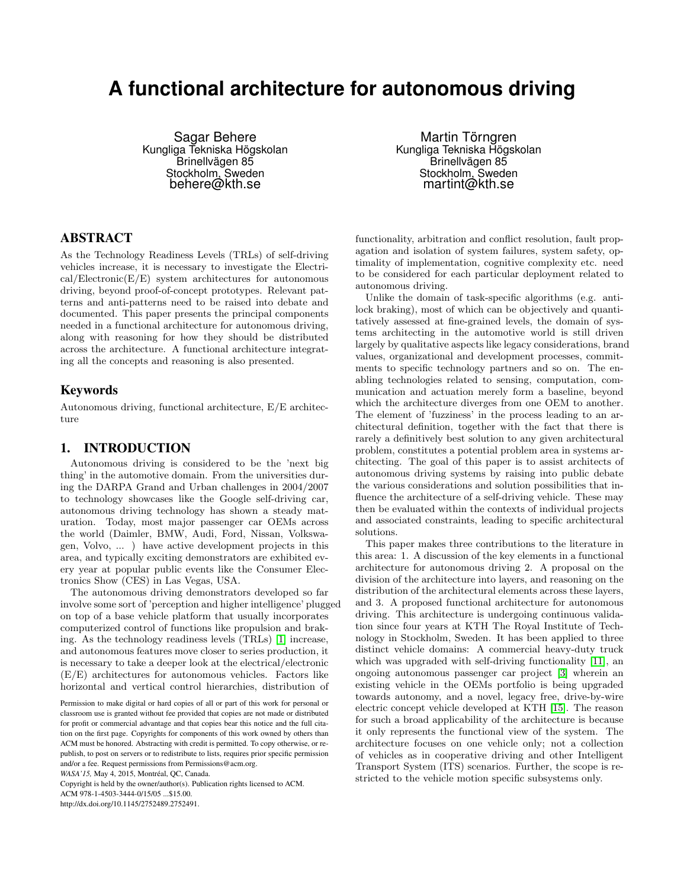# **A functional architecture for autonomous driving**

Sagar Behere Kungliga Tekniska Högskolan Brinellvägen 85 Stockholm, Sweden behere@kth.se

Martin Törngren Kungliga Tekniska Högskolan Brinellvägen 85 Stockholm, Sweden martint@kth.se

## ABSTRACT

As the Technology Readiness Levels (TRLs) of self-driving vehicles increase, it is necessary to investigate the Electri $cal/Electronic(E/E)$  system architectures for autonomous driving, beyond proof-of-concept prototypes. Relevant patterns and anti-patterns need to be raised into debate and documented. This paper presents the principal components needed in a functional architecture for autonomous driving, along with reasoning for how they should be distributed across the architecture. A functional architecture integrating all the concepts and reasoning is also presented.

## Keywords

Autonomous driving, functional architecture, E/E architecture

## <span id="page-0-0"></span>1. INTRODUCTION

Autonomous driving is considered to be the 'next big thing' in the automotive domain. From the universities during the DARPA Grand and Urban challenges in 2004/2007 to technology showcases like the Google self-driving car, autonomous driving technology has shown a steady maturation. Today, most major passenger car OEMs across the world (Daimler, BMW, Audi, Ford, Nissan, Volkswagen, Volvo, ... ) have active development projects in this area, and typically exciting demonstrators are exhibited every year at popular public events like the Consumer Electronics Show (CES) in Las Vegas, USA.

The autonomous driving demonstrators developed so far involve some sort of 'perception and higher intelligence' plugged on top of a base vehicle platform that usually incorporates computerized control of functions like propulsion and braking. As the technology readiness levels (TRLs) [\[1\]](#page-7-0) increase, and autonomous features move closer to series production, it is necessary to take a deeper look at the electrical/electronic (E/E) architectures for autonomous vehicles. Factors like horizontal and vertical control hierarchies, distribution of

ACM 978-1-4503-3444-0/15/05 ...\$15.00.

http://dx.doi.org/10.1145/2752489.2752491.

functionality, arbitration and conflict resolution, fault propagation and isolation of system failures, system safety, optimality of implementation, cognitive complexity etc. need to be considered for each particular deployment related to autonomous driving.

Unlike the domain of task-specific algorithms (e.g. antilock braking), most of which can be objectively and quantitatively assessed at fine-grained levels, the domain of systems architecting in the automotive world is still driven largely by qualitative aspects like legacy considerations, brand values, organizational and development processes, commitments to specific technology partners and so on. The enabling technologies related to sensing, computation, communication and actuation merely form a baseline, beyond which the architecture diverges from one OEM to another. The element of 'fuzziness' in the process leading to an architectural definition, together with the fact that there is rarely a definitively best solution to any given architectural problem, constitutes a potential problem area in systems architecting. The goal of this paper is to assist architects of autonomous driving systems by raising into public debate the various considerations and solution possibilities that influence the architecture of a self-driving vehicle. These may then be evaluated within the contexts of individual projects and associated constraints, leading to specific architectural solutions.

This paper makes three contributions to the literature in this area: 1. A discussion of the key elements in a functional architecture for autonomous driving 2. A proposal on the division of the architecture into layers, and reasoning on the distribution of the architectural elements across these layers, and 3. A proposed functional architecture for autonomous driving. This architecture is undergoing continuous validation since four years at KTH The Royal Institute of Technology in Stockholm, Sweden. It has been applied to three distinct vehicle domains: A commercial heavy-duty truck which was upgraded with self-driving functionality [\[11\]](#page-7-1), an ongoing autonomous passenger car project [\[3\]](#page-7-2) wherein an existing vehicle in the OEMs portfolio is being upgraded towards autonomy, and a novel, legacy free, drive-by-wire electric concept vehicle developed at KTH [\[15\]](#page-7-3). The reason for such a broad applicability of the architecture is because it only represents the functional view of the system. The architecture focuses on one vehicle only; not a collection of vehicles as in cooperative driving and other Intelligent Transport System (ITS) scenarios. Further, the scope is restricted to the vehicle motion specific subsystems only.

Permission to make digital or hard copies of all or part of this work for personal or classroom use is granted without fee provided that copies are not made or distributed for profit or commercial advantage and that copies bear this notice and the full citation on the first page. Copyrights for components of this work owned by others than ACM must be honored. Abstracting with credit is permitted. To copy otherwise, or republish, to post on servers or to redistribute to lists, requires prior specific permission and/or a fee. Request permissions from Permissions@acm.org.

*WASA'15,* May 4, 2015, Montréal, QC, Canada.

Copyright is held by the owner/author(s). Publication rights licensed to ACM.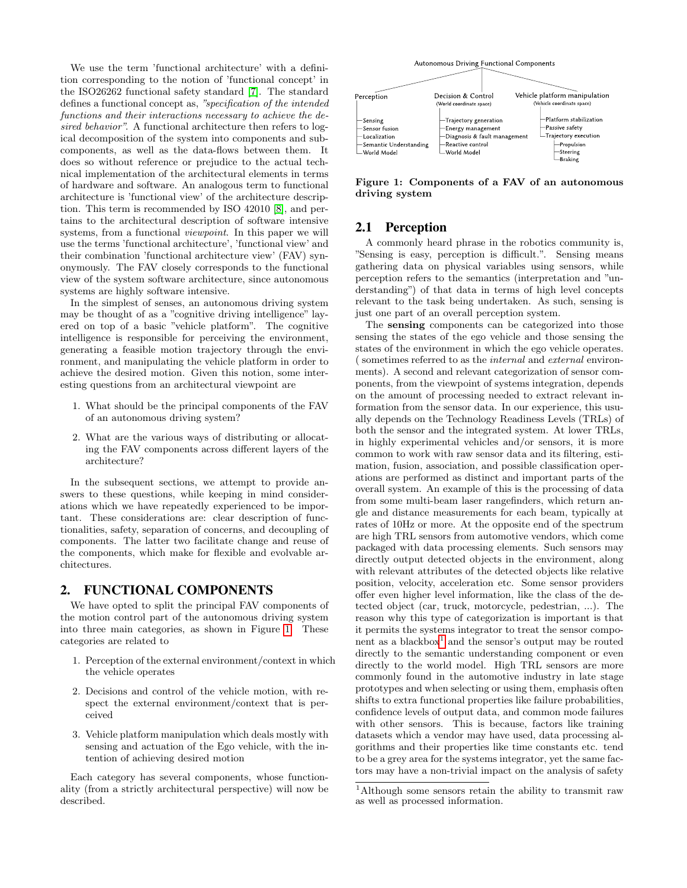We use the term 'functional architecture' with a definition corresponding to the notion of 'functional concept' in the ISO26262 functional safety standard [\[7\]](#page-7-4). The standard defines a functional concept as, "specification of the intended functions and their interactions necessary to achieve the desired behavior". A functional architecture then refers to logical decomposition of the system into components and subcomponents, as well as the data-flows between them. It does so without reference or prejudice to the actual technical implementation of the architectural elements in terms of hardware and software. An analogous term to functional architecture is 'functional view' of the architecture description. This term is recommended by ISO 42010 [\[8\]](#page-7-5), and pertains to the architectural description of software intensive systems, from a functional viewpoint. In this paper we will use the terms 'functional architecture', 'functional view' and their combination 'functional architecture view' (FAV) synonymously. The FAV closely corresponds to the functional view of the system software architecture, since autonomous systems are highly software intensive.

In the simplest of senses, an autonomous driving system may be thought of as a "cognitive driving intelligence" layered on top of a basic "vehicle platform". The cognitive intelligence is responsible for perceiving the environment, generating a feasible motion trajectory through the environment, and manipulating the vehicle platform in order to achieve the desired motion. Given this notion, some interesting questions from an architectural viewpoint are

- 1. What should be the principal components of the FAV of an autonomous driving system?
- 2. What are the various ways of distributing or allocating the FAV components across different layers of the architecture?

In the subsequent sections, we attempt to provide answers to these questions, while keeping in mind considerations which we have repeatedly experienced to be important. These considerations are: clear description of functionalities, safety, separation of concerns, and decoupling of components. The latter two facilitate change and reuse of the components, which make for flexible and evolvable architectures.

## 2. FUNCTIONAL COMPONENTS

We have opted to split the principal FAV components of the motion control part of the autonomous driving system into three main categories, as shown in Figure [1.](#page-1-0) These categories are related to

- 1. Perception of the external environment/context in which the vehicle operates
- 2. Decisions and control of the vehicle motion, with respect the external environment/context that is perceived
- 3. Vehicle platform manipulation which deals mostly with sensing and actuation of the Ego vehicle, with the intention of achieving desired motion

Each category has several components, whose functionality (from a strictly architectural perspective) will now be described.



<span id="page-1-0"></span>Figure 1: Components of a FAV of an autonomous driving system

## <span id="page-1-2"></span>2.1 Perception

A commonly heard phrase in the robotics community is, "Sensing is easy, perception is difficult.". Sensing means gathering data on physical variables using sensors, while perception refers to the semantics (interpretation and "understanding") of that data in terms of high level concepts relevant to the task being undertaken. As such, sensing is just one part of an overall perception system.

The sensing components can be categorized into those sensing the states of the ego vehicle and those sensing the states of the environment in which the ego vehicle operates. ( sometimes referred to as the internal and external environments). A second and relevant categorization of sensor components, from the viewpoint of systems integration, depends on the amount of processing needed to extract relevant information from the sensor data. In our experience, this usually depends on the Technology Readiness Levels (TRLs) of both the sensor and the integrated system. At lower TRLs, in highly experimental vehicles and/or sensors, it is more common to work with raw sensor data and its filtering, estimation, fusion, association, and possible classification operations are performed as distinct and important parts of the overall system. An example of this is the processing of data from some multi-beam laser rangefinders, which return angle and distance measurements for each beam, typically at rates of 10Hz or more. At the opposite end of the spectrum are high TRL sensors from automotive vendors, which come packaged with data processing elements. Such sensors may directly output detected objects in the environment, along with relevant attributes of the detected objects like relative position, velocity, acceleration etc. Some sensor providers offer even higher level information, like the class of the detected object (car, truck, motorcycle, pedestrian, ...). The reason why this type of categorization is important is that it permits the systems integrator to treat the sensor compo-nent as a blackbox<sup>[1](#page-1-1)</sup> and the sensor's output may be routed directly to the semantic understanding component or even directly to the world model. High TRL sensors are more commonly found in the automotive industry in late stage prototypes and when selecting or using them, emphasis often shifts to extra functional properties like failure probabilities, confidence levels of output data, and common mode failures with other sensors. This is because, factors like training datasets which a vendor may have used, data processing algorithms and their properties like time constants etc. tend to be a grey area for the systems integrator, yet the same factors may have a non-trivial impact on the analysis of safety

<span id="page-1-1"></span><sup>1</sup>Although some sensors retain the ability to transmit raw as well as processed information.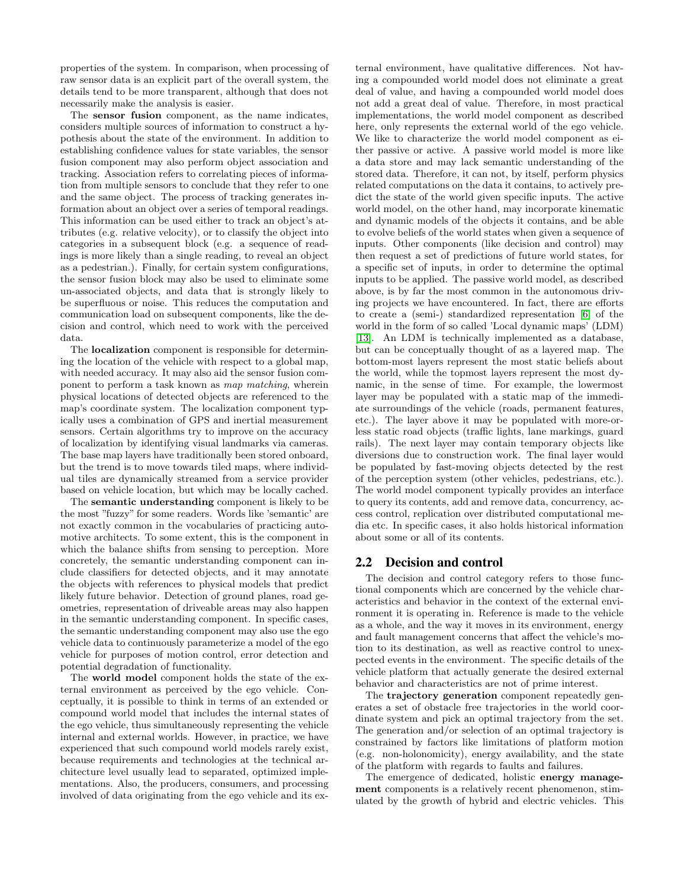properties of the system. In comparison, when processing of raw sensor data is an explicit part of the overall system, the details tend to be more transparent, although that does not necessarily make the analysis is easier.

The sensor fusion component, as the name indicates, considers multiple sources of information to construct a hypothesis about the state of the environment. In addition to establishing confidence values for state variables, the sensor fusion component may also perform object association and tracking. Association refers to correlating pieces of information from multiple sensors to conclude that they refer to one and the same object. The process of tracking generates information about an object over a series of temporal readings. This information can be used either to track an object's attributes (e.g. relative velocity), or to classify the object into categories in a subsequent block (e.g. a sequence of readings is more likely than a single reading, to reveal an object as a pedestrian.). Finally, for certain system configurations, the sensor fusion block may also be used to eliminate some un-associated objects, and data that is strongly likely to be superfluous or noise. This reduces the computation and communication load on subsequent components, like the decision and control, which need to work with the perceived data.

The **localization** component is responsible for determining the location of the vehicle with respect to a global map, with needed accuracy. It may also aid the sensor fusion component to perform a task known as map matching, wherein physical locations of detected objects are referenced to the map's coordinate system. The localization component typically uses a combination of GPS and inertial measurement sensors. Certain algorithms try to improve on the accuracy of localization by identifying visual landmarks via cameras. The base map layers have traditionally been stored onboard, but the trend is to move towards tiled maps, where individual tiles are dynamically streamed from a service provider based on vehicle location, but which may be locally cached.

The semantic understanding component is likely to be the most "fuzzy" for some readers. Words like 'semantic' are not exactly common in the vocabularies of practicing automotive architects. To some extent, this is the component in which the balance shifts from sensing to perception. More concretely, the semantic understanding component can include classifiers for detected objects, and it may annotate the objects with references to physical models that predict likely future behavior. Detection of ground planes, road geometries, representation of driveable areas may also happen in the semantic understanding component. In specific cases, the semantic understanding component may also use the ego vehicle data to continuously parameterize a model of the ego vehicle for purposes of motion control, error detection and potential degradation of functionality.

The world model component holds the state of the external environment as perceived by the ego vehicle. Conceptually, it is possible to think in terms of an extended or compound world model that includes the internal states of the ego vehicle, thus simultaneously representing the vehicle internal and external worlds. However, in practice, we have experienced that such compound world models rarely exist, because requirements and technologies at the technical architecture level usually lead to separated, optimized implementations. Also, the producers, consumers, and processing involved of data originating from the ego vehicle and its external environment, have qualitative differences. Not having a compounded world model does not eliminate a great deal of value, and having a compounded world model does not add a great deal of value. Therefore, in most practical implementations, the world model component as described here, only represents the external world of the ego vehicle. We like to characterize the world model component as either passive or active. A passive world model is more like a data store and may lack semantic understanding of the stored data. Therefore, it can not, by itself, perform physics related computations on the data it contains, to actively predict the state of the world given specific inputs. The active world model, on the other hand, may incorporate kinematic and dynamic models of the objects it contains, and be able to evolve beliefs of the world states when given a sequence of inputs. Other components (like decision and control) may then request a set of predictions of future world states, for a specific set of inputs, in order to determine the optimal inputs to be applied. The passive world model, as described above, is by far the most common in the autonomous driving projects we have encountered. In fact, there are efforts to create a (semi-) standardized representation [\[6\]](#page-7-6) of the world in the form of so called 'Local dynamic maps' (LDM) [\[13\]](#page-7-7). An LDM is technically implemented as a database, but can be conceptually thought of as a layered map. The bottom-most layers represent the most static beliefs about the world, while the topmost layers represent the most dynamic, in the sense of time. For example, the lowermost layer may be populated with a static map of the immediate surroundings of the vehicle (roads, permanent features, etc.). The layer above it may be populated with more-orless static road objects (traffic lights, lane markings, guard rails). The next layer may contain temporary objects like diversions due to construction work. The final layer would be populated by fast-moving objects detected by the rest of the perception system (other vehicles, pedestrians, etc.). The world model component typically provides an interface to query its contents, add and remove data, concurrency, access control, replication over distributed computational media etc. In specific cases, it also holds historical information about some or all of its contents.

## 2.2 Decision and control

The decision and control category refers to those functional components which are concerned by the vehicle characteristics and behavior in the context of the external environment it is operating in. Reference is made to the vehicle as a whole, and the way it moves in its environment, energy and fault management concerns that affect the vehicle's motion to its destination, as well as reactive control to unexpected events in the environment. The specific details of the vehicle platform that actually generate the desired external behavior and characteristics are not of prime interest.

The **trajectory generation** component repeatedly generates a set of obstacle free trajectories in the world coordinate system and pick an optimal trajectory from the set. The generation and/or selection of an optimal trajectory is constrained by factors like limitations of platform motion (e.g. non-holonomicity), energy availability, and the state of the platform with regards to faults and failures.

The emergence of dedicated, holistic energy management components is a relatively recent phenomenon, stimulated by the growth of hybrid and electric vehicles. This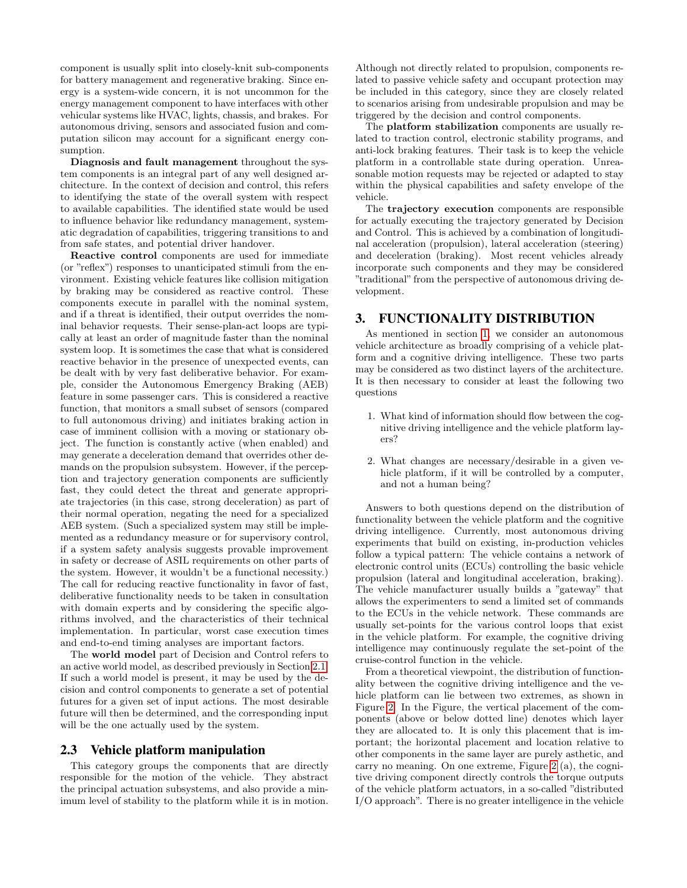component is usually split into closely-knit sub-components for battery management and regenerative braking. Since energy is a system-wide concern, it is not uncommon for the energy management component to have interfaces with other vehicular systems like HVAC, lights, chassis, and brakes. For autonomous driving, sensors and associated fusion and computation silicon may account for a significant energy consumption.

Diagnosis and fault management throughout the system components is an integral part of any well designed architecture. In the context of decision and control, this refers to identifying the state of the overall system with respect to available capabilities. The identified state would be used to influence behavior like redundancy management, systematic degradation of capabilities, triggering transitions to and from safe states, and potential driver handover.

Reactive control components are used for immediate (or "reflex") responses to unanticipated stimuli from the environment. Existing vehicle features like collision mitigation by braking may be considered as reactive control. These components execute in parallel with the nominal system, and if a threat is identified, their output overrides the nominal behavior requests. Their sense-plan-act loops are typically at least an order of magnitude faster than the nominal system loop. It is sometimes the case that what is considered reactive behavior in the presence of unexpected events, can be dealt with by very fast deliberative behavior. For example, consider the Autonomous Emergency Braking (AEB) feature in some passenger cars. This is considered a reactive function, that monitors a small subset of sensors (compared to full autonomous driving) and initiates braking action in case of imminent collision with a moving or stationary object. The function is constantly active (when enabled) and may generate a deceleration demand that overrides other demands on the propulsion subsystem. However, if the perception and trajectory generation components are sufficiently fast, they could detect the threat and generate appropriate trajectories (in this case, strong deceleration) as part of their normal operation, negating the need for a specialized AEB system. (Such a specialized system may still be implemented as a redundancy measure or for supervisory control, if a system safety analysis suggests provable improvement in safety or decrease of ASIL requirements on other parts of the system. However, it wouldn't be a functional necessity.) The call for reducing reactive functionality in favor of fast, deliberative functionality needs to be taken in consultation with domain experts and by considering the specific algorithms involved, and the characteristics of their technical implementation. In particular, worst case execution times and end-to-end timing analyses are important factors.

The world model part of Decision and Control refers to an active world model, as described previously in Section [2.1.](#page-1-2) If such a world model is present, it may be used by the decision and control components to generate a set of potential futures for a given set of input actions. The most desirable future will then be determined, and the corresponding input will be the one actually used by the system.

#### 2.3 Vehicle platform manipulation

This category groups the components that are directly responsible for the motion of the vehicle. They abstract the principal actuation subsystems, and also provide a minimum level of stability to the platform while it is in motion. Although not directly related to propulsion, components related to passive vehicle safety and occupant protection may be included in this category, since they are closely related to scenarios arising from undesirable propulsion and may be triggered by the decision and control components.

The **platform stabilization** components are usually related to traction control, electronic stability programs, and anti-lock braking features. Their task is to keep the vehicle platform in a controllable state during operation. Unreasonable motion requests may be rejected or adapted to stay within the physical capabilities and safety envelope of the vehicle.

The trajectory execution components are responsible for actually executing the trajectory generated by Decision and Control. This is achieved by a combination of longitudinal acceleration (propulsion), lateral acceleration (steering) and deceleration (braking). Most recent vehicles already incorporate such components and they may be considered "traditional" from the perspective of autonomous driving development.

#### 3. FUNCTIONALITY DISTRIBUTION

As mentioned in section [1,](#page-0-0) we consider an autonomous vehicle architecture as broadly comprising of a vehicle platform and a cognitive driving intelligence. These two parts may be considered as two distinct layers of the architecture. It is then necessary to consider at least the following two questions

- 1. What kind of information should flow between the cognitive driving intelligence and the vehicle platform layers?
- 2. What changes are necessary/desirable in a given vehicle platform, if it will be controlled by a computer, and not a human being?

Answers to both questions depend on the distribution of functionality between the vehicle platform and the cognitive driving intelligence. Currently, most autonomous driving experiments that build on existing, in-production vehicles follow a typical pattern: The vehicle contains a network of electronic control units (ECUs) controlling the basic vehicle propulsion (lateral and longitudinal acceleration, braking). The vehicle manufacturer usually builds a "gateway" that allows the experimenters to send a limited set of commands to the ECUs in the vehicle network. These commands are usually set-points for the various control loops that exist in the vehicle platform. For example, the cognitive driving intelligence may continuously regulate the set-point of the cruise-control function in the vehicle.

From a theoretical viewpoint, the distribution of functionality between the cognitive driving intelligence and the vehicle platform can lie between two extremes, as shown in Figure [2.](#page-4-0) In the Figure, the vertical placement of the components (above or below dotted line) denotes which layer they are allocated to. It is only this placement that is important; the horizontal placement and location relative to other components in the same layer are purely asthetic, and carry no meaning. On one extreme, Figure [2](#page-4-0) (a), the cognitive driving component directly controls the torque outputs of the vehicle platform actuators, in a so-called "distributed I/O approach". There is no greater intelligence in the vehicle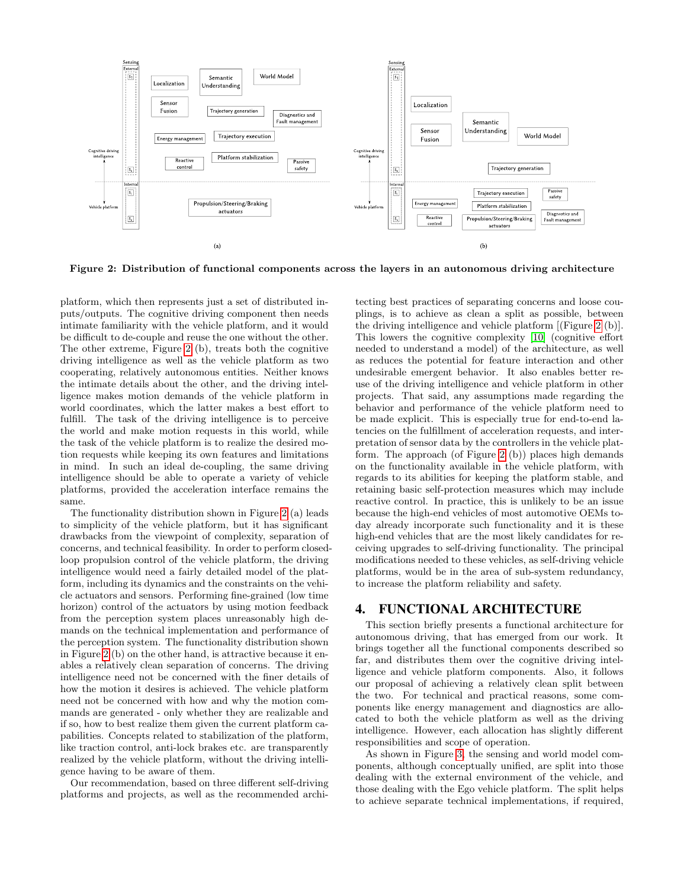

<span id="page-4-0"></span>Figure 2: Distribution of functional components across the layers in an autonomous driving architecture

platform, which then represents just a set of distributed inputs/outputs. The cognitive driving component then needs intimate familiarity with the vehicle platform, and it would be difficult to de-couple and reuse the one without the other. The other extreme, Figure [2](#page-4-0) (b), treats both the cognitive driving intelligence as well as the vehicle platform as two cooperating, relatively autonomous entities. Neither knows the intimate details about the other, and the driving intelligence makes motion demands of the vehicle platform in world coordinates, which the latter makes a best effort to fulfill. The task of the driving intelligence is to perceive the world and make motion requests in this world, while the task of the vehicle platform is to realize the desired motion requests while keeping its own features and limitations in mind. In such an ideal de-coupling, the same driving intelligence should be able to operate a variety of vehicle platforms, provided the acceleration interface remains the same.

The functionality distribution shown in Figure [2](#page-4-0) (a) leads to simplicity of the vehicle platform, but it has significant drawbacks from the viewpoint of complexity, separation of concerns, and technical feasibility. In order to perform closedloop propulsion control of the vehicle platform, the driving intelligence would need a fairly detailed model of the platform, including its dynamics and the constraints on the vehicle actuators and sensors. Performing fine-grained (low time horizon) control of the actuators by using motion feedback from the perception system places unreasonably high demands on the technical implementation and performance of the perception system. The functionality distribution shown in Figure [2](#page-4-0) (b) on the other hand, is attractive because it enables a relatively clean separation of concerns. The driving intelligence need not be concerned with the finer details of how the motion it desires is achieved. The vehicle platform need not be concerned with how and why the motion commands are generated - only whether they are realizable and if so, how to best realize them given the current platform capabilities. Concepts related to stabilization of the platform, like traction control, anti-lock brakes etc. are transparently realized by the vehicle platform, without the driving intelligence having to be aware of them.

Our recommendation, based on three different self-driving platforms and projects, as well as the recommended architecting best practices of separating concerns and loose couplings, is to achieve as clean a split as possible, between the driving intelligence and vehicle platform [(Figure [2](#page-4-0) (b)]. This lowers the cognitive complexity [\[10\]](#page-7-8) (cognitive effort needed to understand a model) of the architecture, as well as reduces the potential for feature interaction and other undesirable emergent behavior. It also enables better reuse of the driving intelligence and vehicle platform in other projects. That said, any assumptions made regarding the behavior and performance of the vehicle platform need to be made explicit. This is especially true for end-to-end latencies on the fulfillment of acceleration requests, and interpretation of sensor data by the controllers in the vehicle platform. The approach (of Figure [2](#page-4-0) (b)) places high demands on the functionality available in the vehicle platform, with regards to its abilities for keeping the platform stable, and retaining basic self-protection measures which may include reactive control. In practice, this is unlikely to be an issue because the high-end vehicles of most automotive OEMs today already incorporate such functionality and it is these high-end vehicles that are the most likely candidates for receiving upgrades to self-driving functionality. The principal modifications needed to these vehicles, as self-driving vehicle platforms, would be in the area of sub-system redundancy, to increase the platform reliability and safety.

## 4. FUNCTIONAL ARCHITECTURE

This section briefly presents a functional architecture for autonomous driving, that has emerged from our work. It brings together all the functional components described so far, and distributes them over the cognitive driving intelligence and vehicle platform components. Also, it follows our proposal of achieving a relatively clean split between the two. For technical and practical reasons, some components like energy management and diagnostics are allocated to both the vehicle platform as well as the driving intelligence. However, each allocation has slightly different responsibilities and scope of operation.

As shown in Figure [3,](#page-5-0) the sensing and world model components, although conceptually unified, are split into those dealing with the external environment of the vehicle, and those dealing with the Ego vehicle platform. The split helps to achieve separate technical implementations, if required,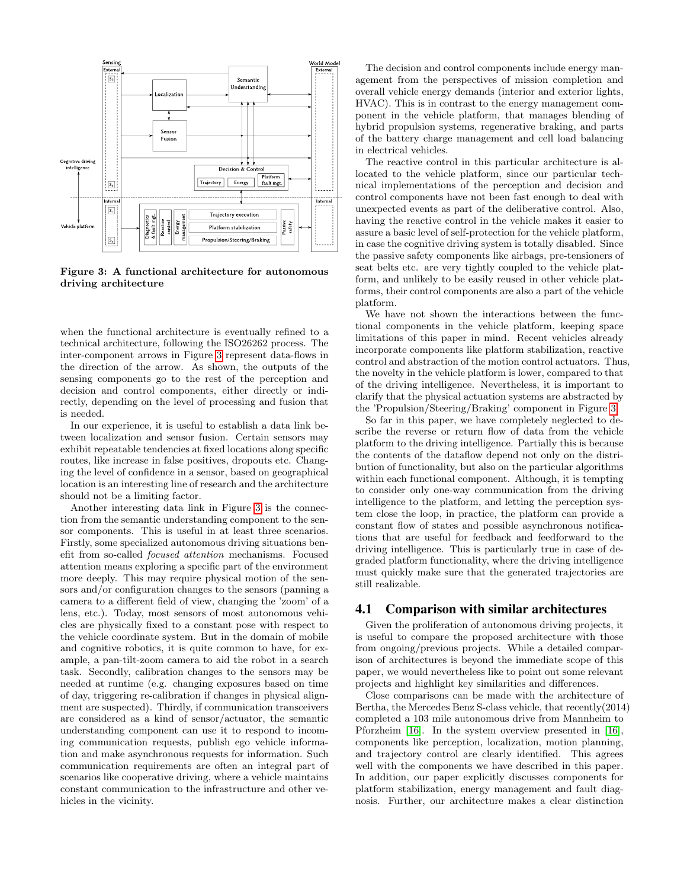

<span id="page-5-0"></span>Figure 3: A functional architecture for autonomous driving architecture

when the functional architecture is eventually refined to a technical architecture, following the ISO26262 process. The inter-component arrows in Figure [3](#page-5-0) represent data-flows in the direction of the arrow. As shown, the outputs of the sensing components go to the rest of the perception and decision and control components, either directly or indirectly, depending on the level of processing and fusion that is needed.

In our experience, it is useful to establish a data link between localization and sensor fusion. Certain sensors may exhibit repeatable tendencies at fixed locations along specific routes, like increase in false positives, dropouts etc. Changing the level of confidence in a sensor, based on geographical location is an interesting line of research and the architecture should not be a limiting factor.

Another interesting data link in Figure [3](#page-5-0) is the connection from the semantic understanding component to the sensor components. This is useful in at least three scenarios. Firstly, some specialized autonomous driving situations benefit from so-called focused attention mechanisms. Focused attention means exploring a specific part of the environment more deeply. This may require physical motion of the sensors and/or configuration changes to the sensors (panning a camera to a different field of view, changing the 'zoom' of a lens, etc.). Today, most sensors of most autonomous vehicles are physically fixed to a constant pose with respect to the vehicle coordinate system. But in the domain of mobile and cognitive robotics, it is quite common to have, for example, a pan-tilt-zoom camera to aid the robot in a search task. Secondly, calibration changes to the sensors may be needed at runtime (e.g. changing exposures based on time of day, triggering re-calibration if changes in physical alignment are suspected). Thirdly, if communication transceivers are considered as a kind of sensor/actuator, the semantic understanding component can use it to respond to incoming communication requests, publish ego vehicle information and make asynchronous requests for information. Such communication requirements are often an integral part of scenarios like cooperative driving, where a vehicle maintains constant communication to the infrastructure and other vehicles in the vicinity.

The decision and control components include energy management from the perspectives of mission completion and overall vehicle energy demands (interior and exterior lights, HVAC). This is in contrast to the energy management component in the vehicle platform, that manages blending of hybrid propulsion systems, regenerative braking, and parts of the battery charge management and cell load balancing in electrical vehicles.

The reactive control in this particular architecture is allocated to the vehicle platform, since our particular technical implementations of the perception and decision and control components have not been fast enough to deal with unexpected events as part of the deliberative control. Also, having the reactive control in the vehicle makes it easier to assure a basic level of self-protection for the vehicle platform, in case the cognitive driving system is totally disabled. Since the passive safety components like airbags, pre-tensioners of seat belts etc. are very tightly coupled to the vehicle platform, and unlikely to be easily reused in other vehicle platforms, their control components are also a part of the vehicle platform.

We have not shown the interactions between the functional components in the vehicle platform, keeping space limitations of this paper in mind. Recent vehicles already incorporate components like platform stabilization, reactive control and abstraction of the motion control actuators. Thus, the novelty in the vehicle platform is lower, compared to that of the driving intelligence. Nevertheless, it is important to clarify that the physical actuation systems are abstracted by the 'Propulsion/Steering/Braking' component in Figure [3.](#page-5-0)

So far in this paper, we have completely neglected to describe the reverse or return flow of data from the vehicle platform to the driving intelligence. Partially this is because the contents of the dataflow depend not only on the distribution of functionality, but also on the particular algorithms within each functional component. Although, it is tempting to consider only one-way communication from the driving intelligence to the platform, and letting the perception system close the loop, in practice, the platform can provide a constant flow of states and possible asynchronous notifications that are useful for feedback and feedforward to the driving intelligence. This is particularly true in case of degraded platform functionality, where the driving intelligence must quickly make sure that the generated trajectories are still realizable.

## 4.1 Comparison with similar architectures

Given the proliferation of autonomous driving projects, it is useful to compare the proposed architecture with those from ongoing/previous projects. While a detailed comparison of architectures is beyond the immediate scope of this paper, we would nevertheless like to point out some relevant projects and highlight key similarities and differences.

Close comparisons can be made with the architecture of Bertha, the Mercedes Benz S-class vehicle, that recently(2014) completed a 103 mile autonomous drive from Mannheim to Pforzheim [\[16\]](#page-7-9). In the system overview presented in [\[16\]](#page-7-9), components like perception, localization, motion planning, and trajectory control are clearly identified. This agrees well with the components we have described in this paper. In addition, our paper explicitly discusses components for platform stabilization, energy management and fault diagnosis. Further, our architecture makes a clear distinction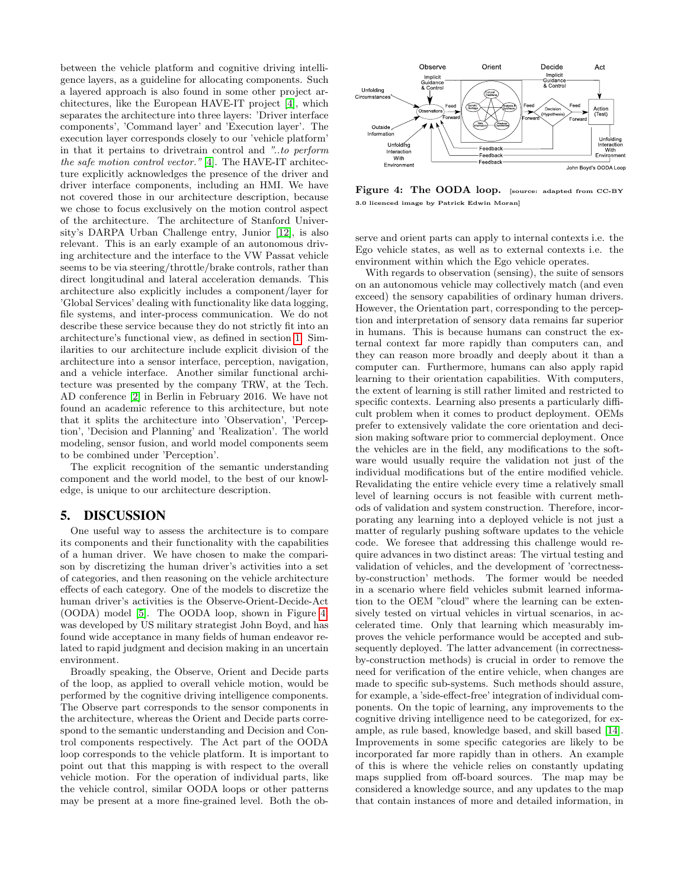between the vehicle platform and cognitive driving intelligence layers, as a guideline for allocating components. Such a layered approach is also found in some other project architectures, like the European HAVE-IT project [\[4\]](#page-7-10), which separates the architecture into three layers: 'Driver interface components', 'Command layer' and 'Execution layer'. The execution layer corresponds closely to our 'vehicle platform' in that it pertains to drivetrain control and "..to perform the safe motion control vector." [\[4\]](#page-7-10). The HAVE-IT architecture explicitly acknowledges the presence of the driver and driver interface components, including an HMI. We have not covered those in our architecture description, because we chose to focus exclusively on the motion control aspect of the architecture. The architecture of Stanford University's DARPA Urban Challenge entry, Junior [\[12\]](#page-7-11), is also relevant. This is an early example of an autonomous driving architecture and the interface to the VW Passat vehicle seems to be via steering/throttle/brake controls, rather than direct longitudinal and lateral acceleration demands. This architecture also explicitly includes a component/layer for 'Global Services' dealing with functionality like data logging, file systems, and inter-process communication. We do not describe these service because they do not strictly fit into an architecture's functional view, as defined in section [1.](#page-0-0) Similarities to our architecture include explicit division of the architecture into a sensor interface, perception, navigation, and a vehicle interface. Another similar functional architecture was presented by the company TRW, at the Tech. AD conference [\[2\]](#page-7-12) in Berlin in February 2016. We have not found an academic reference to this architecture, but note that it splits the architecture into 'Observation', 'Perception', 'Decision and Planning' and 'Realization'. The world modeling, sensor fusion, and world model components seem to be combined under 'Perception'.

The explicit recognition of the semantic understanding component and the world model, to the best of our knowledge, is unique to our architecture description.

## 5. DISCUSSION

One useful way to assess the architecture is to compare its components and their functionality with the capabilities of a human driver. We have chosen to make the comparison by discretizing the human driver's activities into a set of categories, and then reasoning on the vehicle architecture effects of each category. One of the models to discretize the human driver's activities is the Observe-Orient-Decide-Act (OODA) model [\[5\]](#page-7-13). The OODA loop, shown in Figure [4,](#page-6-0) was developed by US military strategist John Boyd, and has found wide acceptance in many fields of human endeavor related to rapid judgment and decision making in an uncertain environment.

Broadly speaking, the Observe, Orient and Decide parts of the loop, as applied to overall vehicle motion, would be performed by the cognitive driving intelligence components. The Observe part corresponds to the sensor components in the architecture, whereas the Orient and Decide parts correspond to the semantic understanding and Decision and Control components respectively. The Act part of the OODA loop corresponds to the vehicle platform. It is important to point out that this mapping is with respect to the overall vehicle motion. For the operation of individual parts, like the vehicle control, similar OODA loops or other patterns may be present at a more fine-grained level. Both the ob-



<span id="page-6-0"></span>Figure 4: The OODA loop. [source: adapted from CC-BY 3.0 licenced image by Patrick Edwin Moran]

serve and orient parts can apply to internal contexts i.e. the Ego vehicle states, as well as to external contexts i.e. the environment within which the Ego vehicle operates.

With regards to observation (sensing), the suite of sensors on an autonomous vehicle may collectively match (and even exceed) the sensory capabilities of ordinary human drivers. However, the Orientation part, corresponding to the perception and interpretation of sensory data remains far superior in humans. This is because humans can construct the external context far more rapidly than computers can, and they can reason more broadly and deeply about it than a computer can. Furthermore, humans can also apply rapid learning to their orientation capabilities. With computers, the extent of learning is still rather limited and restricted to specific contexts. Learning also presents a particularly difficult problem when it comes to product deployment. OEMs prefer to extensively validate the core orientation and decision making software prior to commercial deployment. Once the vehicles are in the field, any modifications to the software would usually require the validation not just of the individual modifications but of the entire modified vehicle. Revalidating the entire vehicle every time a relatively small level of learning occurs is not feasible with current methods of validation and system construction. Therefore, incorporating any learning into a deployed vehicle is not just a matter of regularly pushing software updates to the vehicle code. We foresee that addressing this challenge would require advances in two distinct areas: The virtual testing and validation of vehicles, and the development of 'correctnessby-construction' methods. The former would be needed in a scenario where field vehicles submit learned information to the OEM "cloud" where the learning can be extensively tested on virtual vehicles in virtual scenarios, in accelerated time. Only that learning which measurably improves the vehicle performance would be accepted and subsequently deployed. The latter advancement (in correctnessby-construction methods) is crucial in order to remove the need for verification of the entire vehicle, when changes are made to specific sub-systems. Such methods should assure, for example, a 'side-effect-free' integration of individual components. On the topic of learning, any improvements to the cognitive driving intelligence need to be categorized, for example, as rule based, knowledge based, and skill based [\[14\]](#page-7-14). Improvements in some specific categories are likely to be incorporated far more rapidly than in others. An example of this is where the vehicle relies on constantly updating maps supplied from off-board sources. The map may be considered a knowledge source, and any updates to the map that contain instances of more and detailed information, in